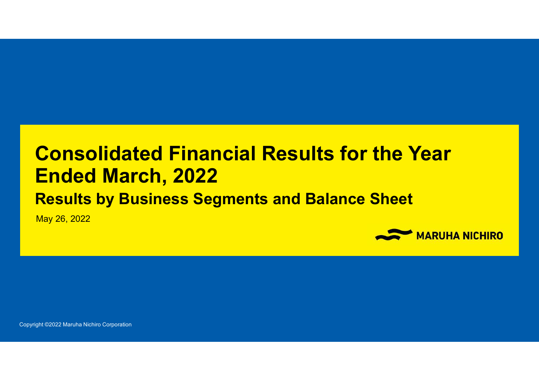## **Consolidated Financial Results for the Year Ended March, 2022**

## **Results by Business Segments and Balance Sheet**

May 26, 2022

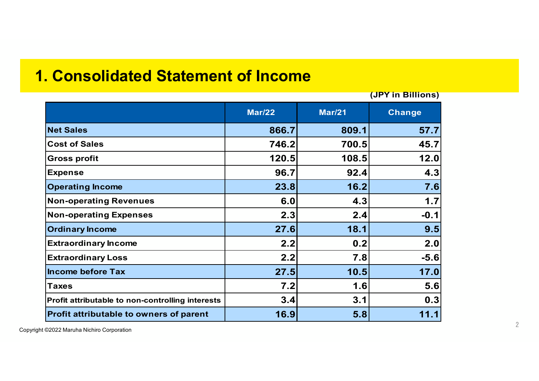### **1. Consolidated Statement of Income**

**Mar/22 Mar/21 Change Net Sales 866.7 809.1 57.7 Cost of Sales 746.2 700.5 45.7 Gross profit 120.5 108.5 12.0 Expense 96.7 92.4 4.3 Operating Income 23.8 16.2 7.6 Non-operating Revenues 6.0 4.3 1.7 Non-operating Expenses 2.3 2.4 -0.1 Ordinary Income 27.6 18.1 9.5 Extraordinary Income 2.2 0.2 2.0 Extraordinary Loss 2.2 7.8 -5.6 Income before Tax 27.5 10.5 17.0 Taxes 7.2 1.6 5.6 Profit attributable to non-controlling interests 3.4 3.1 0.3 Profit attributable to owners of parent 16.9 5.8 11.1 (JPY in Billions)**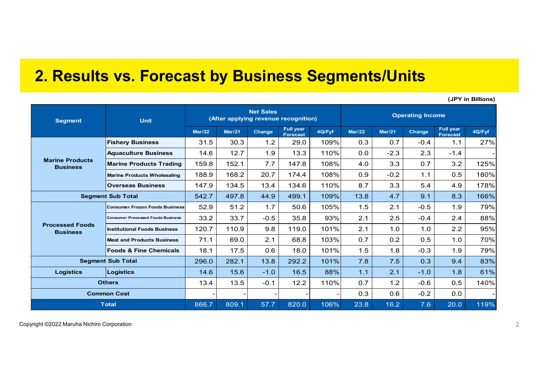### **2. Results vs. Forecast by Business Segments/Units**

**Mar/22 Mar/21 Change Full year Forecast 4Q/Fyf Mar/22 Mar/21 Change Full year Forecast 4Q/Fyf Fishery Business** 31.5 30.3 1.2 29.0 109% 0.3 0.7 -0.4 1.1 27% **Aquaculture Business** | 14.6 | 12.7 | 1.9 | 13.3 | 110% | 0.0 | -2.3 | 2.3 | -1.4 **Marine Products Trading** 159.8 152.1 7.7 147.8 108% 4.0 3.3 0.7 3.2 125% **Marine Products Wholesaling** 188.9 168.2 20.7 174.4 108% 0.9 -0.2 1.1 0.5 180% **Overseas Business** 147.9 134.5 13.4 134.6 110% 8.7 3.3 5.4 4.9 178% 542.7 497.8 44.9 499.1 109% 13.8 4.7 9.1 8.3 166% **Consumer Frozen Foods Business** 52.9 51.2 1.7 50.6 105% 1.5 2.1 -0.5 1.9 79% **Consumer Processed Foods Business** 33.2 33.7 -0.5 35.8 93% 2.1 2.5 -0.4 2.4 88% **Institutional Foods Business** 120.7 110.9 9.8 119.0 101% 2.1 1.0 1.0 2.2 95% **Meat and Products Business** 71.1 69.0 2.1 68.8 103% 0.7 0.2 0.5 1.0 70% **Foods & Fine Chemicals** 18.1 17.5 0.6 18.0 101% 1.5 1.8 -0.3 1.9 79% 296.0 282.1 13.8 292.2 101% 7.8 7.5 0.3 9.4 83% **Logistics Logistics** 14.6 15.6 -1.0 16.5 88% 1.1 2.1 -1.0 1.8 61% 13.4 13.5 -0.1 12.2 110% 0.7 1.2 -0.6 0.5 140% -| -| -| -| 0.3| 0.6| -0.2| 0.0| -866.7 809.1 57.7 820.0 106% 23.8 16.2 7.6 20.0 119% **Segment Sub Total Unit Net Sales (After applying revenue recognition) Operating Income Segment Marine Products Business Processed Foods Business Segment Sub Total Others Common Cost Total**

**(JPY in Billions)**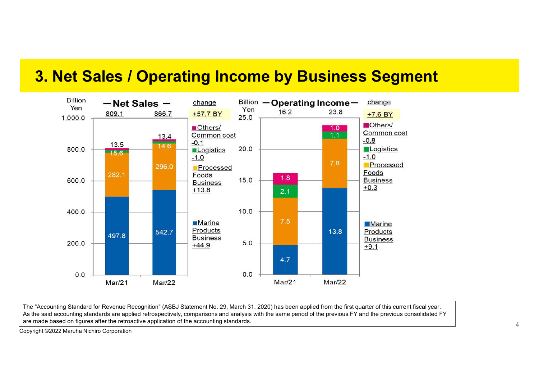### **3. Net Sales / Operating Income by Business Segment**



The "Accounting Standard for Revenue Recognition" (ASBJ Statement No. 29, March 31, 2020) has been applied from the first quarter of this current fiscal year. As the said accounting standards are applied retrospectively, comparisons and analysis with the same period of the previous FY and the previous consolidated FY are made based on figures after the retroactive application of the accounting standards.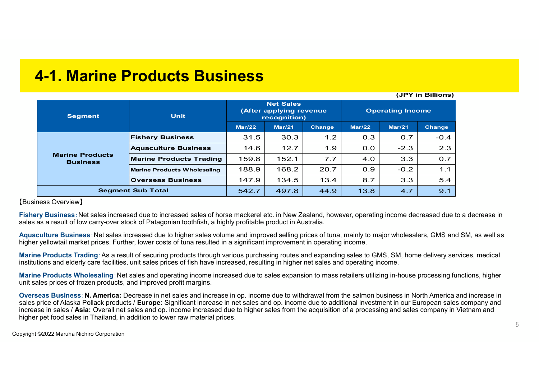| 4-1. Marine Products Business |  |
|-------------------------------|--|
|-------------------------------|--|

| וכווטוווט ווו וטן                         |                                    |                                                             |        |               |                         |        |        |
|-------------------------------------------|------------------------------------|-------------------------------------------------------------|--------|---------------|-------------------------|--------|--------|
| <b>Segment</b>                            | <b>Unit</b>                        | <b>Net Sales</b><br>(After applying revenue<br>recognition) |        |               | <b>Operating Income</b> |        |        |
|                                           |                                    | <b>Mar/22</b>                                               | Mar/21 | <b>Change</b> | Mar/22                  | Mar/21 | Change |
| <b>Marine Products</b><br><b>Business</b> | <b>Fishery Business</b>            | 31.5                                                        | 30.3   | 1.2           | 0.3                     | 0.7    | $-0.4$ |
|                                           | <b>Aquaculture Business</b>        | 14.6                                                        | 12.7   | 1.9           | 0.0                     | $-2.3$ | 2.3    |
|                                           | <b>Marine Products Trading</b>     | 159.8                                                       | 152.1  | 7.7           | 4.0                     | 3.3    | 0.7    |
|                                           | <b>Marine Products Wholesaling</b> | 188.9                                                       | 168.2  | 20.7          | 0.9                     | $-0.2$ | 1.1    |
|                                           | <b>Overseas Business</b>           | 147.9                                                       | 134.5  | 13.4          | 8.7                     | 3.3    | 5.4    |
| <b>Segment Sub Total</b>                  |                                    | 542.7                                                       | 497.8  | 44.9          | 13.8                    | 4.7    | 9.1    |

【Business Overview】

**Fishery Business**:Net sales increased due to increased sales of horse mackerel etc. in New Zealand, however, operating income decreased due to a decrease in sales as a result of low carry-over stock of Patagonian toothfish, a highly profitable product in Australia.

**Aquaculture Business**:Net sales increased due to higher sales volume and improved selling prices of tuna, mainly to major wholesalers, GMS and SM, as well as higher yellowtail market prices. Further, lower costs of tuna resulted in a significant improvement in operating income.

**Marine Products Trading**:As a result of securing products through various purchasing routes and expanding sales to GMS, SM, home delivery services, medical institutions and elderly care facilities, unit sales prices of fish have increased, resulting in higher net sales and operating income.

**Marine Products Wholesaling**:Net sales and operating income increased due to sales expansion to mass retailers utilizing in-house processing functions, higher unit sales prices of frozen products, and improved profit margins.

**Overseas Business**:**N. America:** Decrease in net sales and increase in op. income due to withdrawal from the salmon business in North America and increase in sales price of Alaska Pollack products / **Europe:** Significant increase in net sales and op. income due to additional investment in our European sales company and increase in sales / **Asia:** Overall net sales and op. income increased due to higher sales from the acquisition of a processing and sales company in Vietnam and higher pet food sales in Thailand, in addition to lower raw material prices.

**(JPY in Billions)**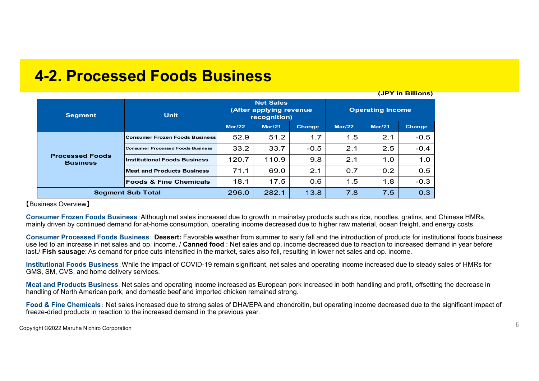| <b>4-2. Processed Foods Business</b> |  |  |
|--------------------------------------|--|--|
|--------------------------------------|--|--|

| <b>Segment</b>                            | <b>Unit</b>                           |        | <b>Net Sales</b><br>(After applying revenue)<br>recognition) |               | <b>Operating Income</b> |        |               |
|-------------------------------------------|---------------------------------------|--------|--------------------------------------------------------------|---------------|-------------------------|--------|---------------|
|                                           |                                       | Mar/22 | <b>Mar/21</b>                                                | <b>Change</b> | Mar/22                  | Mar/21 | <b>Change</b> |
| <b>Processed Foods</b><br><b>Business</b> | <b>Consumer Frozen Foods Business</b> | 52.9   | 51.2                                                         | 1.7           | 1.5                     | 2.1    | $-0.5$        |
|                                           | Consumer Processed Foods Business     | 33.2   | 33.7                                                         | $-0.5$        | 2.1                     | 2.5    | $-0.4$        |
|                                           | <b>Institutional Foods Business</b>   | 120.7  | 110.9                                                        | 9.8           | 2.1                     | 1.0    | 1.0           |
|                                           | <b>Meat and Products Business</b>     | 71.1   | 69.0                                                         | 2.1           | 0.7                     | 0.2    | 0.5           |
|                                           | <b>Foods &amp; Fine Chemicals</b>     | 18.1   | 17.5                                                         | 0.6           | 1.5                     | 1.8    | $-0.3$        |
| <b>Segment Sub Total</b>                  |                                       | 296.0  | 282.1                                                        | 13.8          | 7.8                     | 7.5    | 0.3           |

【Business Overview】

**Consumer Frozen Foods Business**:Although net sales increased due to growth in mainstay products such as rice, noodles, gratins, and Chinese HMRs, mainly driven by continued demand for at-home consumption, operating income decreased due to higher raw material, ocean freight, and energy costs.

**Consumer Processed Foods Business**: **Dessert:** Favorable weather from summer to early fall and the introduction of products for institutional foods business use led to an increase in net sales and op. income. / **Canned food** : Net sales and op. income decreased due to reaction to increased demand in year before last./ **Fish sausage**: As demand for price cuts intensified in the market, sales also fell, resulting in lower net sales and op. income.

**Institutional Foods Business**:While the impact of COVID-19 remain significant, net sales and operating income increased due to steady sales of HMRs for GMS, SM, CVS, and home delivery services.

**Meat and Products Business**:Net sales and operating income increased as European pork increased in both handling and profit, offsetting the decrease in handling of North American pork, and domestic beef and imported chicken remained strong.

**Food & Fine Chemicals**: Net sales increased due to strong sales of DHA/EPA and chondroitin, but operating income decreased due to the significant impact of freeze-dried products in reaction to the increased demand in the previous year.

Copyright ©2022 Maruha Nichiro Corporation

**(JPY in Billions)**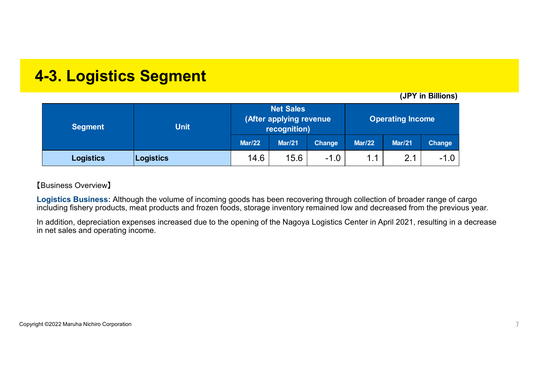## **4-3. Logistics Segment**

**(JPY in Billions)**

| <b>Segment</b>   | <b>Unit</b> | <b>Net Sales</b><br>(After applying revenue<br>recognition) |               |               | <b>Operating Income</b> |                |               |
|------------------|-------------|-------------------------------------------------------------|---------------|---------------|-------------------------|----------------|---------------|
|                  |             | <b>Mar/22</b>                                               | <b>Mar/21</b> | <b>Change</b> | <b>Mar/22</b>           | <b>Mar/21</b>  | <b>Change</b> |
| <b>Logistics</b> | Logistics   | 14.6                                                        | 15.6          | $-1.0$        | 1.1                     | 2 <sub>1</sub> | $-1.0$        |

### 【Business Overview】

**Logistics Business:** Although the volume of incoming goods has been recovering through collection of broader range of cargo including fishery products, meat products and frozen foods, storage inventory remained low and decreased from the previous year.

In addition, depreciation expenses increased due to the opening of the Nagoya Logistics Center in April 2021, resulting in a decrease in net sales and operating income.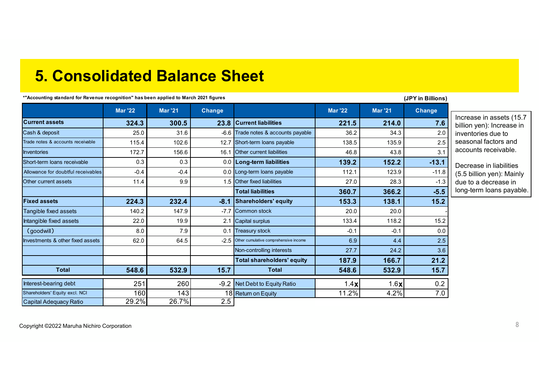### **5. Consolidated Balance Sheet**

**\*"Accounting standard for Revenue recognition" has been applied to March 2021 figures**

#### **(JPY in Billions)**

|                                    | <b>Mar '22</b> | <b>Mar '21</b> | <b>Change</b> |                                       | <b>Mar '22</b> | <b>Mar '21</b> | <b>Change</b> |                                                       |
|------------------------------------|----------------|----------------|---------------|---------------------------------------|----------------|----------------|---------------|-------------------------------------------------------|
| <b>Current assets</b>              | 324.3          | 300.5          | 23.8          | <b>Current liabilities</b>            | 221.5          | 214.0          | 7.6           | Increase in assets (15.7<br>billion yen): Increase in |
| Cash & deposit                     | 25.0           | 31.6           | $-6.6$        | Trade notes & accounts payable        | 36.2           | 34.3           | 2.0           | inventories due to                                    |
| Trade notes & accounts receivable  | 115.4          | 102.6          | 12.7          | Short-term loans payable              | 138.5          | 135.9          | 2.5           | seasonal factors and                                  |
| <b>Inventories</b>                 | 172.7          | 156.6          | 16.1          | <b>Other current liabilities</b>      | 46.8           | 43.8           | 3.1           | accounts receivable.                                  |
| Short-term loans receivable        | 0.3            | 0.3            |               | 0.0   Long-term liabilities           | 139.2          | 152.2          | $-13.1$       | Decrease in liabilities                               |
| Allowance for doubtful receivables | $-0.4$         | $-0.4$         |               | 0.0 Long-term loans payable           | 112.1          | 123.9          | $-11.8$       | (5.5 billion yen): Mainly                             |
| Other current assets               | 11.4           | 9.9            |               | 1.5 Other fixed liabilities           | 27.0           | 28.3           | $-1.3$        | due to a decrease in                                  |
|                                    |                |                |               | <b>Total liabilities</b>              | 360.7          | 366.2          | $-5.5$        | long-term loans payable.                              |
| <b>Fixed assets</b>                | 224.3          | 232.4          | $-8.1$        | Shareholders' equity                  | 153.3          | 138.1          | 15.2          |                                                       |
| Tangible fixed assets              | 140.2          | 147.9          | $-7.7$        | <b>Common stock</b>                   | 20.0           | 20.0           |               |                                                       |
| Intangible fixed assets            | 22.0           | 19.9           | 2.1           | <b>Capital surplus</b>                | 133.4          | 118.2          | 15.2          |                                                       |
| (goodwill)                         | 8.0            | 7.9            | 0.1           | <b>Treasury stock</b>                 | $-0.1$         | $-0.1$         | 0.0           |                                                       |
| Investments & other fixed assets   | 62.0           | 64.5           | $-2.5$        | Other cumulative comprehensive income | 6.9            | 4.4            | 2.5           |                                                       |
|                                    |                |                |               | Non-controlling interests             | 27.7           | 24.2           | 3.6           |                                                       |
|                                    |                |                |               | <b>Total shareholders' equity</b>     | 187.9          | 166.7          | 21.2          |                                                       |
| <b>Total</b>                       | 548.6          | 532.9          | 15.7          | <b>Total</b>                          | 548.6          | 532.9          | 15.7          |                                                       |
| Interest-bearing debt              | 251            | 260            | $-9.2$        | Net Debt to Equity Ratio              | 1.4 $x$        | 1.6 $x$        | 0.2           |                                                       |
| Shareholders' Equity excl. NCI     | 160            | 143            |               | 18 Return on Equity                   | 11.2%          | 4.2%           | 7.0           |                                                       |
| Capital Adequacy Ratio             | 29.2%          | 26.7%          | 2.5           |                                       |                |                |               |                                                       |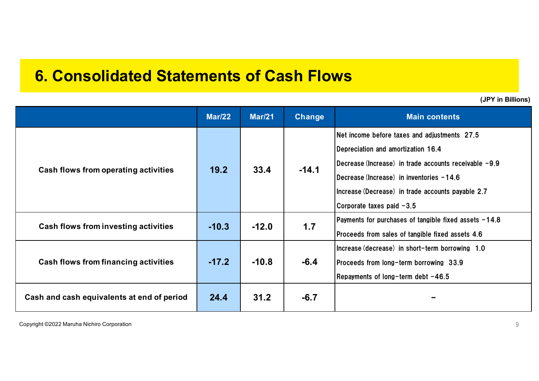## **6. Consolidated Statements of Cash Flows**

|                                            | <b>Mar/22</b> | <b>Mar/21</b> | Change  | <b>Main contents</b>                                                                                                                                                                                                                                                        |
|--------------------------------------------|---------------|---------------|---------|-----------------------------------------------------------------------------------------------------------------------------------------------------------------------------------------------------------------------------------------------------------------------------|
| Cash flows from operating activities       | 19.2          | 33.4          | $-14.1$ | Net income before taxes and adjustments 27.5<br>Depreciation and amortization 16.4<br> Decrease (Increase) in trade accounts receivable −9.9<br>IDecrease (Increase) in inventories -14.6<br>Increase (Decrease) in trade accounts payable 2.7<br>Corporate taxes paid -3.5 |
| Cash flows from investing activities       | $-10.3$       | $-12.0$       | 1.7     | Payments for purchases of tangible fixed assets -14.8<br>Proceeds from sales of tangible fixed assets 4.6                                                                                                                                                                   |
| Cash flows from financing activities       | $-17.2$       | $-10.8$       | $-6.4$  | Increase (decrease) in short-term borrowing 1.0<br>Proceeds from long-term borrowing 33.9<br>Repayments of long-term debt -46.5                                                                                                                                             |
| Cash and cash equivalents at end of period | 24.4          | 31.2          | $-6.7$  |                                                                                                                                                                                                                                                                             |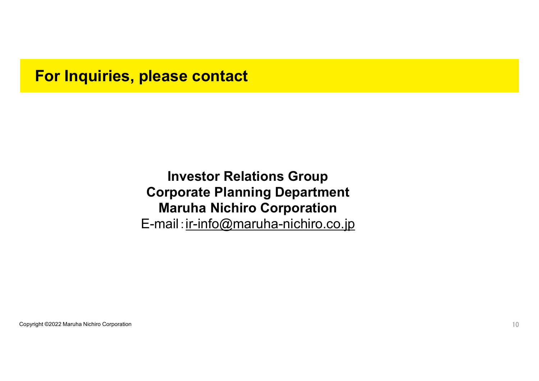### **For Inquiries, please contact**

**Investor Relations Group Corporate Planning Department Maruha Nichiro Corporation** E-mail: ir-info@maruha-nichiro.co.jp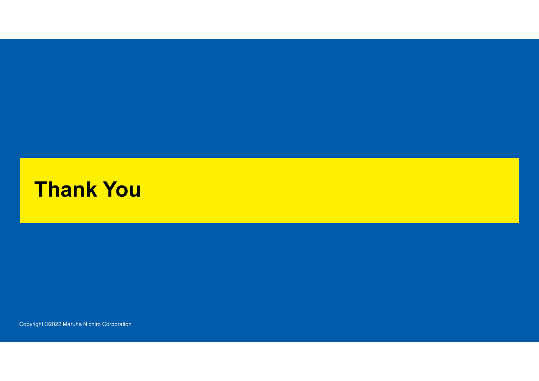# **Thank You**